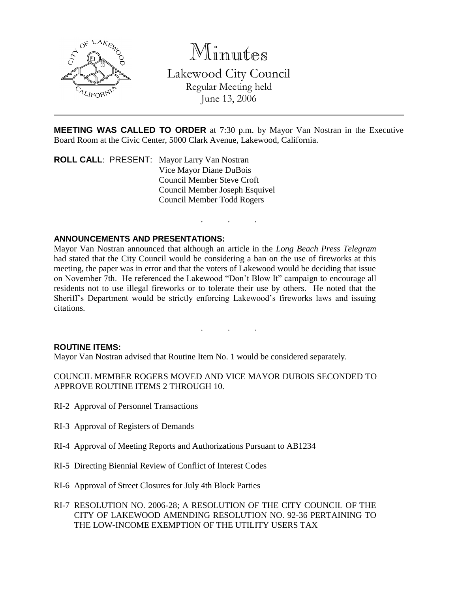

Minutes

Lakewood City Council Regular Meeting held June 13, 2006

**MEETING WAS CALLED TO ORDER** at 7:30 p.m. by Mayor Van Nostran in the Executive Board Room at the Civic Center, 5000 Clark Avenue, Lakewood, California.

. . .

. . .

**ROLL CALL**: PRESENT: Mayor Larry Van Nostran Vice Mayor Diane DuBois Council Member Steve Croft Council Member Joseph Esquivel Council Member Todd Rogers

# **ANNOUNCEMENTS AND PRESENTATIONS:**

Mayor Van Nostran announced that although an article in the *Long Beach Press Telegram* had stated that the City Council would be considering a ban on the use of fireworks at this meeting, the paper was in error and that the voters of Lakewood would be deciding that issue on November 7th. He referenced the Lakewood "Don't Blow It" campaign to encourage all residents not to use illegal fireworks or to tolerate their use by others. He noted that the Sheriff's Department would be strictly enforcing Lakewood's fireworks laws and issuing citations.

#### **ROUTINE ITEMS:**

Mayor Van Nostran advised that Routine Item No. 1 would be considered separately.

COUNCIL MEMBER ROGERS MOVED AND VICE MAYOR DUBOIS SECONDED TO APPROVE ROUTINE ITEMS 2 THROUGH 10.

- RI-2 Approval of Personnel Transactions
- RI-3 Approval of Registers of Demands
- RI-4 Approval of Meeting Reports and Authorizations Pursuant to AB1234
- RI-5 Directing Biennial Review of Conflict of Interest Codes
- RI-6 Approval of Street Closures for July 4th Block Parties
- RI-7 RESOLUTION NO. 2006-28; A RESOLUTION OF THE CITY COUNCIL OF THE CITY OF LAKEWOOD AMENDING RESOLUTION NO. 92-36 PERTAINING TO THE LOW-INCOME EXEMPTION OF THE UTILITY USERS TAX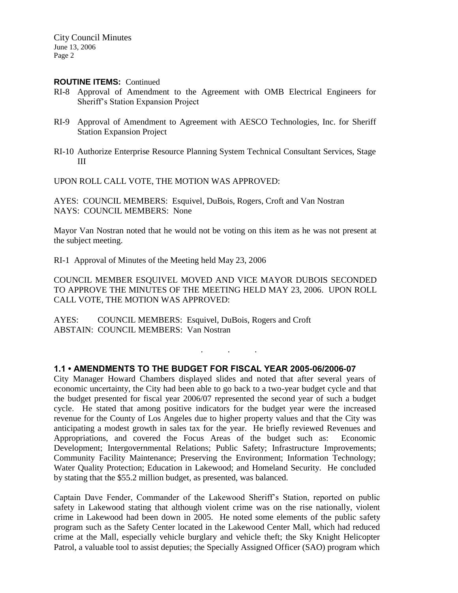#### **ROUTINE ITEMS:** Continued

- RI-8 Approval of Amendment to the Agreement with OMB Electrical Engineers for Sheriff's Station Expansion Project
- RI-9 Approval of Amendment to Agreement with AESCO Technologies, Inc. for Sheriff Station Expansion Project
- RI-10 Authorize Enterprise Resource Planning System Technical Consultant Services, Stage III

UPON ROLL CALL VOTE, THE MOTION WAS APPROVED:

AYES: COUNCIL MEMBERS: Esquivel, DuBois, Rogers, Croft and Van Nostran NAYS: COUNCIL MEMBERS: None

Mayor Van Nostran noted that he would not be voting on this item as he was not present at the subject meeting.

RI-1 Approval of Minutes of the Meeting held May 23, 2006

COUNCIL MEMBER ESQUIVEL MOVED AND VICE MAYOR DUBOIS SECONDED TO APPROVE THE MINUTES OF THE MEETING HELD MAY 23, 2006. UPON ROLL CALL VOTE, THE MOTION WAS APPROVED:

. . .

AYES: COUNCIL MEMBERS: Esquivel, DuBois, Rogers and Croft ABSTAIN: COUNCIL MEMBERS: Van Nostran

#### **1.1 • AMENDMENTS TO THE BUDGET FOR FISCAL YEAR 2005-06/2006-07**

City Manager Howard Chambers displayed slides and noted that after several years of economic uncertainty, the City had been able to go back to a two-year budget cycle and that the budget presented for fiscal year 2006/07 represented the second year of such a budget cycle. He stated that among positive indicators for the budget year were the increased revenue for the County of Los Angeles due to higher property values and that the City was anticipating a modest growth in sales tax for the year. He briefly reviewed Revenues and Appropriations, and covered the Focus Areas of the budget such as: Economic Development; Intergovernmental Relations; Public Safety; Infrastructure Improvements; Community Facility Maintenance; Preserving the Environment; Information Technology; Water Quality Protection; Education in Lakewood; and Homeland Security. He concluded by stating that the \$55.2 million budget, as presented, was balanced.

Captain Dave Fender, Commander of the Lakewood Sheriff's Station, reported on public safety in Lakewood stating that although violent crime was on the rise nationally, violent crime in Lakewood had been down in 2005. He noted some elements of the public safety program such as the Safety Center located in the Lakewood Center Mall, which had reduced crime at the Mall, especially vehicle burglary and vehicle theft; the Sky Knight Helicopter Patrol, a valuable tool to assist deputies; the Specially Assigned Officer (SAO) program which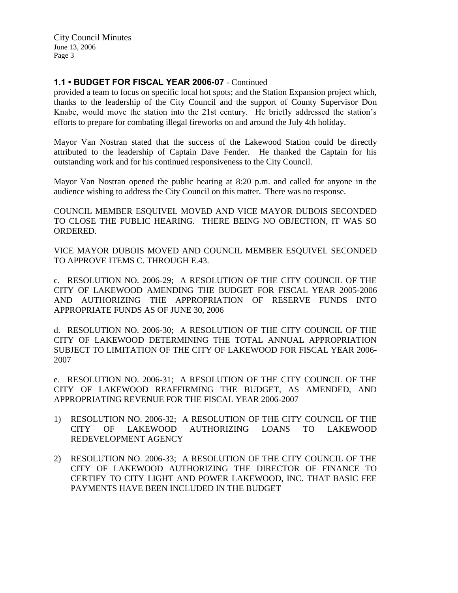# **1.1 • BUDGET FOR FISCAL YEAR 2006-07** - Continued

provided a team to focus on specific local hot spots; and the Station Expansion project which, thanks to the leadership of the City Council and the support of County Supervisor Don Knabe, would move the station into the 21st century. He briefly addressed the station's efforts to prepare for combating illegal fireworks on and around the July 4th holiday.

Mayor Van Nostran stated that the success of the Lakewood Station could be directly attributed to the leadership of Captain Dave Fender. He thanked the Captain for his outstanding work and for his continued responsiveness to the City Council.

Mayor Van Nostran opened the public hearing at 8:20 p.m. and called for anyone in the audience wishing to address the City Council on this matter. There was no response.

COUNCIL MEMBER ESQUIVEL MOVED AND VICE MAYOR DUBOIS SECONDED TO CLOSE THE PUBLIC HEARING. THERE BEING NO OBJECTION, IT WAS SO ORDERED.

VICE MAYOR DUBOIS MOVED AND COUNCIL MEMBER ESQUIVEL SECONDED TO APPROVE ITEMS C. THROUGH E.43.

c. RESOLUTION NO. 2006-29; A RESOLUTION OF THE CITY COUNCIL OF THE CITY OF LAKEWOOD AMENDING THE BUDGET FOR FISCAL YEAR 2005-2006 AND AUTHORIZING THE APPROPRIATION OF RESERVE FUNDS INTO APPROPRIATE FUNDS AS OF JUNE 30, 2006

d. RESOLUTION NO. 2006-30; A RESOLUTION OF THE CITY COUNCIL OF THE CITY OF LAKEWOOD DETERMINING THE TOTAL ANNUAL APPROPRIATION SUBJECT TO LIMITATION OF THE CITY OF LAKEWOOD FOR FISCAL YEAR 2006- 2007

e. RESOLUTION NO. 2006-31; A RESOLUTION OF THE CITY COUNCIL OF THE CITY OF LAKEWOOD REAFFIRMING THE BUDGET, AS AMENDED, AND APPROPRIATING REVENUE FOR THE FISCAL YEAR 2006-2007

- 1) RESOLUTION NO. 2006-32; A RESOLUTION OF THE CITY COUNCIL OF THE CITY OF LAKEWOOD AUTHORIZING LOANS TO LAKEWOOD REDEVELOPMENT AGENCY
- 2) RESOLUTION NO. 2006-33; A RESOLUTION OF THE CITY COUNCIL OF THE CITY OF LAKEWOOD AUTHORIZING THE DIRECTOR OF FINANCE TO CERTIFY TO CITY LIGHT AND POWER LAKEWOOD, INC. THAT BASIC FEE PAYMENTS HAVE BEEN INCLUDED IN THE BUDGET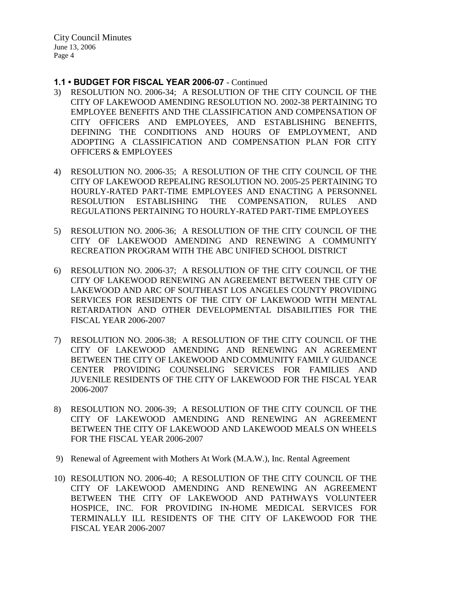#### **1.1 • BUDGET FOR FISCAL YEAR 2006-07** - Continued

- 3) RESOLUTION NO. 2006-34; A RESOLUTION OF THE CITY COUNCIL OF THE CITY OF LAKEWOOD AMENDING RESOLUTION NO. 2002-38 PERTAINING TO EMPLOYEE BENEFITS AND THE CLASSIFICATION AND COMPENSATION OF CITY OFFICERS AND EMPLOYEES, AND ESTABLISHING BENEFITS, DEFINING THE CONDITIONS AND HOURS OF EMPLOYMENT, AND ADOPTING A CLASSIFICATION AND COMPENSATION PLAN FOR CITY OFFICERS & EMPLOYEES
- 4) RESOLUTION NO. 2006-35; A RESOLUTION OF THE CITY COUNCIL OF THE CITY OF LAKEWOOD REPEALING RESOLUTION NO. 2005-25 PERTAINING TO HOURLY-RATED PART-TIME EMPLOYEES AND ENACTING A PERSONNEL RESOLUTION ESTABLISHING THE COMPENSATION, RULES AND REGULATIONS PERTAINING TO HOURLY-RATED PART-TIME EMPLOYEES
- 5) RESOLUTION NO. 2006-36; A RESOLUTION OF THE CITY COUNCIL OF THE CITY OF LAKEWOOD AMENDING AND RENEWING A COMMUNITY RECREATION PROGRAM WITH THE ABC UNIFIED SCHOOL DISTRICT
- 6) RESOLUTION NO. 2006-37; A RESOLUTION OF THE CITY COUNCIL OF THE CITY OF LAKEWOOD RENEWING AN AGREEMENT BETWEEN THE CITY OF LAKEWOOD AND ARC OF SOUTHEAST LOS ANGELES COUNTY PROVIDING SERVICES FOR RESIDENTS OF THE CITY OF LAKEWOOD WITH MENTAL RETARDATION AND OTHER DEVELOPMENTAL DISABILITIES FOR THE FISCAL YEAR 2006-2007
- 7) RESOLUTION NO. 2006-38; A RESOLUTION OF THE CITY COUNCIL OF THE CITY OF LAKEWOOD AMENDING AND RENEWING AN AGREEMENT BETWEEN THE CITY OF LAKEWOOD AND COMMUNITY FAMILY GUIDANCE CENTER PROVIDING COUNSELING SERVICES FOR FAMILIES AND JUVENILE RESIDENTS OF THE CITY OF LAKEWOOD FOR THE FISCAL YEAR 2006-2007
- 8) RESOLUTION NO. 2006-39; A RESOLUTION OF THE CITY COUNCIL OF THE CITY OF LAKEWOOD AMENDING AND RENEWING AN AGREEMENT BETWEEN THE CITY OF LAKEWOOD AND LAKEWOOD MEALS ON WHEELS FOR THE FISCAL YEAR 2006-2007
- 9) Renewal of Agreement with Mothers At Work (M.A.W.), Inc. Rental Agreement
- 10) RESOLUTION NO. 2006-40; A RESOLUTION OF THE CITY COUNCIL OF THE CITY OF LAKEWOOD AMENDING AND RENEWING AN AGREEMENT BETWEEN THE CITY OF LAKEWOOD AND PATHWAYS VOLUNTEER HOSPICE, INC. FOR PROVIDING IN-HOME MEDICAL SERVICES FOR TERMINALLY ILL RESIDENTS OF THE CITY OF LAKEWOOD FOR THE FISCAL YEAR 2006-2007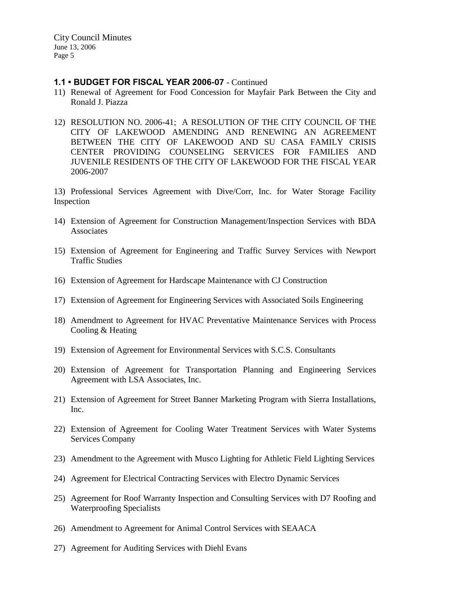## **1.1 • BUDGET FOR FISCAL YEAR 2006-07** - Continued

- 11) Renewal of Agreement for Food Concession for Mayfair Park Between the City and Ronald J. Piazza
- 12) RESOLUTION NO. 2006-41; A RESOLUTION OF THE CITY COUNCIL OF THE CITY OF LAKEWOOD AMENDING AND RENEWING AN AGREEMENT BETWEEN THE CITY OF LAKEWOOD AND SU CASA FAMILY CRISIS CENTER PROVIDING COUNSELING SERVICES FOR FAMILIES AND JUVENILE RESIDENTS OF THE CITY OF LAKEWOOD FOR THE FISCAL YEAR 2006-2007

13) Professional Services Agreement with Dive/Corr, Inc. for Water Storage Facility Inspection

- 14) Extension of Agreement for Construction Management/Inspection Services with BDA Associates
- 15) Extension of Agreement for Engineering and Traffic Survey Services with Newport Traffic Studies
- 16) Extension of Agreement for Hardscape Maintenance with CJ Construction
- 17) Extension of Agreement for Engineering Services with Associated Soils Engineering
- 18) Amendment to Agreement for HVAC Preventative Maintenance Services with Process Cooling & Heating
- 19) Extension of Agreement for Environmental Services with S.C.S. Consultants
- 20) Extension of Agreement for Transportation Planning and Engineering Services Agreement with LSA Associates, Inc.
- 21) Extension of Agreement for Street Banner Marketing Program with Sierra Installations, Inc.
- 22) Extension of Agreement for Cooling Water Treatment Services with Water Systems Services Company
- 23) Amendment to the Agreement with Musco Lighting for Athletic Field Lighting Services
- 24) Agreement for Electrical Contracting Services with Electro Dynamic Services
- 25) Agreement for Roof Warranty Inspection and Consulting Services with D7 Roofing and Waterproofing Specialists
- 26) Amendment to Agreement for Animal Control Services with SEAACA
- 27) Agreement for Auditing Services with Diehl Evans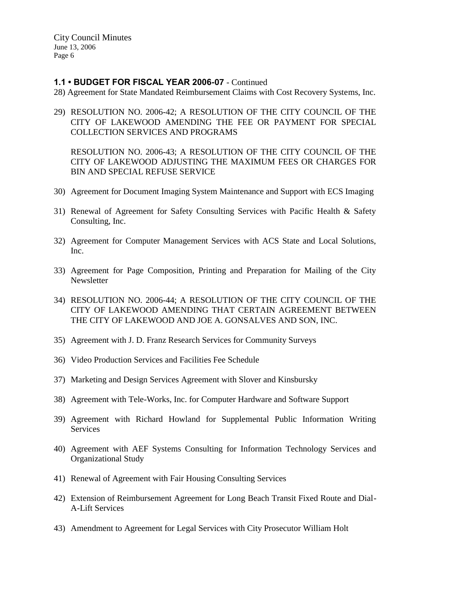## **1.1 • BUDGET FOR FISCAL YEAR 2006-07** - Continued

- 28) Agreement for State Mandated Reimbursement Claims with Cost Recovery Systems, Inc.
- 29) RESOLUTION NO. 2006-42; A RESOLUTION OF THE CITY COUNCIL OF THE CITY OF LAKEWOOD AMENDING THE FEE OR PAYMENT FOR SPECIAL COLLECTION SERVICES AND PROGRAMS

RESOLUTION NO. 2006-43; A RESOLUTION OF THE CITY COUNCIL OF THE CITY OF LAKEWOOD ADJUSTING THE MAXIMUM FEES OR CHARGES FOR BIN AND SPECIAL REFUSE SERVICE

- 30) Agreement for Document Imaging System Maintenance and Support with ECS Imaging
- 31) Renewal of Agreement for Safety Consulting Services with Pacific Health & Safety Consulting, Inc.
- 32) Agreement for Computer Management Services with ACS State and Local Solutions, Inc.
- 33) Agreement for Page Composition, Printing and Preparation for Mailing of the City Newsletter
- 34) RESOLUTION NO. 2006-44; A RESOLUTION OF THE CITY COUNCIL OF THE CITY OF LAKEWOOD AMENDING THAT CERTAIN AGREEMENT BETWEEN THE CITY OF LAKEWOOD AND JOE A. GONSALVES AND SON, INC.
- 35) Agreement with J. D. Franz Research Services for Community Surveys
- 36) Video Production Services and Facilities Fee Schedule
- 37) Marketing and Design Services Agreement with Slover and Kinsbursky
- 38) Agreement with Tele-Works, Inc. for Computer Hardware and Software Support
- 39) Agreement with Richard Howland for Supplemental Public Information Writing Services
- 40) Agreement with AEF Systems Consulting for Information Technology Services and Organizational Study
- 41) Renewal of Agreement with Fair Housing Consulting Services
- 42) Extension of Reimbursement Agreement for Long Beach Transit Fixed Route and Dial-A-Lift Services
- 43) Amendment to Agreement for Legal Services with City Prosecutor William Holt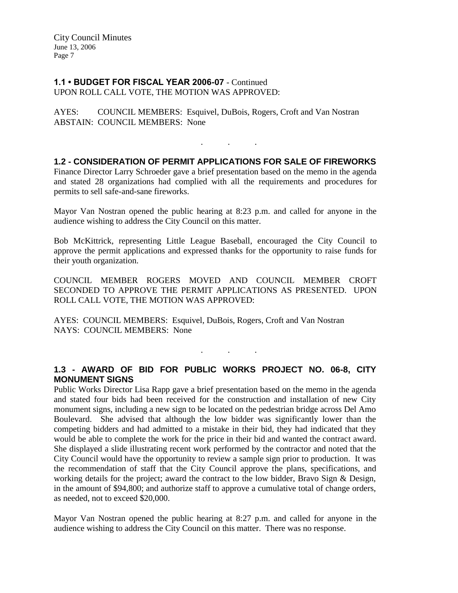#### **1.1 • BUDGET FOR FISCAL YEAR 2006-07** - Continued UPON ROLL CALL VOTE, THE MOTION WAS APPROVED:

AYES: COUNCIL MEMBERS: Esquivel, DuBois, Rogers, Croft and Van Nostran ABSTAIN: COUNCIL MEMBERS: None

# **1.2 - CONSIDERATION OF PERMIT APPLICATIONS FOR SALE OF FIREWORKS**

. . .

Finance Director Larry Schroeder gave a brief presentation based on the memo in the agenda and stated 28 organizations had complied with all the requirements and procedures for permits to sell safe-and-sane fireworks.

Mayor Van Nostran opened the public hearing at 8:23 p.m. and called for anyone in the audience wishing to address the City Council on this matter.

Bob McKittrick, representing Little League Baseball, encouraged the City Council to approve the permit applications and expressed thanks for the opportunity to raise funds for their youth organization.

COUNCIL MEMBER ROGERS MOVED AND COUNCIL MEMBER CROFT SECONDED TO APPROVE THE PERMIT APPLICATIONS AS PRESENTED. UPON ROLL CALL VOTE, THE MOTION WAS APPROVED:

AYES: COUNCIL MEMBERS: Esquivel, DuBois, Rogers, Croft and Van Nostran NAYS: COUNCIL MEMBERS: None

# **1.3 - AWARD OF BID FOR PUBLIC WORKS PROJECT NO. 06-8, CITY MONUMENT SIGNS**

. . .

Public Works Director Lisa Rapp gave a brief presentation based on the memo in the agenda and stated four bids had been received for the construction and installation of new City monument signs, including a new sign to be located on the pedestrian bridge across Del Amo Boulevard. She advised that although the low bidder was significantly lower than the competing bidders and had admitted to a mistake in their bid, they had indicated that they would be able to complete the work for the price in their bid and wanted the contract award. She displayed a slide illustrating recent work performed by the contractor and noted that the City Council would have the opportunity to review a sample sign prior to production. It was the recommendation of staff that the City Council approve the plans, specifications, and working details for the project; award the contract to the low bidder, Bravo Sign & Design, in the amount of \$94,800; and authorize staff to approve a cumulative total of change orders, as needed, not to exceed \$20,000.

Mayor Van Nostran opened the public hearing at 8:27 p.m. and called for anyone in the audience wishing to address the City Council on this matter. There was no response.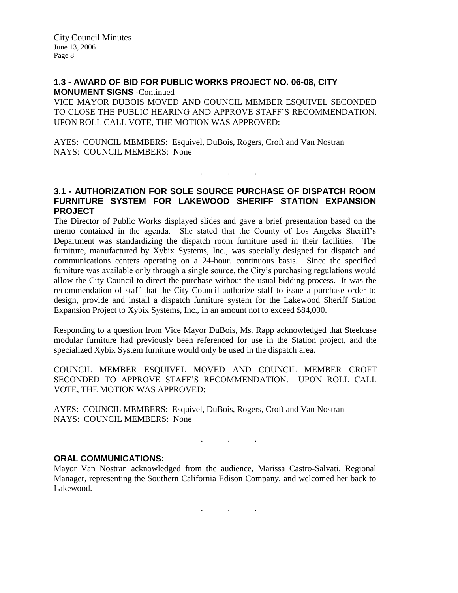#### **1.3 - AWARD OF BID FOR PUBLIC WORKS PROJECT NO. 06-08, CITY MONUMENT SIGNS -**Continued

VICE MAYOR DUBOIS MOVED AND COUNCIL MEMBER ESQUIVEL SECONDED TO CLOSE THE PUBLIC HEARING AND APPROVE STAFF'S RECOMMENDATION. UPON ROLL CALL VOTE, THE MOTION WAS APPROVED:

AYES: COUNCIL MEMBERS: Esquivel, DuBois, Rogers, Croft and Van Nostran NAYS: COUNCIL MEMBERS: None

## **3.1 - AUTHORIZATION FOR SOLE SOURCE PURCHASE OF DISPATCH ROOM FURNITURE SYSTEM FOR LAKEWOOD SHERIFF STATION EXPANSION PROJECT**

. . .

The Director of Public Works displayed slides and gave a brief presentation based on the memo contained in the agenda. She stated that the County of Los Angeles Sheriff's Department was standardizing the dispatch room furniture used in their facilities. The furniture, manufactured by Xybix Systems, Inc., was specially designed for dispatch and communications centers operating on a 24-hour, continuous basis. Since the specified furniture was available only through a single source, the City's purchasing regulations would allow the City Council to direct the purchase without the usual bidding process. It was the recommendation of staff that the City Council authorize staff to issue a purchase order to design, provide and install a dispatch furniture system for the Lakewood Sheriff Station Expansion Project to Xybix Systems, Inc., in an amount not to exceed \$84,000.

Responding to a question from Vice Mayor DuBois, Ms. Rapp acknowledged that Steelcase modular furniture had previously been referenced for use in the Station project, and the specialized Xybix System furniture would only be used in the dispatch area.

COUNCIL MEMBER ESQUIVEL MOVED AND COUNCIL MEMBER CROFT SECONDED TO APPROVE STAFF'S RECOMMENDATION. UPON ROLL CALL VOTE, THE MOTION WAS APPROVED:

AYES: COUNCIL MEMBERS: Esquivel, DuBois, Rogers, Croft and Van Nostran NAYS: COUNCIL MEMBERS: None

## **ORAL COMMUNICATIONS:**

Mayor Van Nostran acknowledged from the audience, Marissa Castro-Salvati, Regional Manager, representing the Southern California Edison Company, and welcomed her back to Lakewood.

. . .

. . .